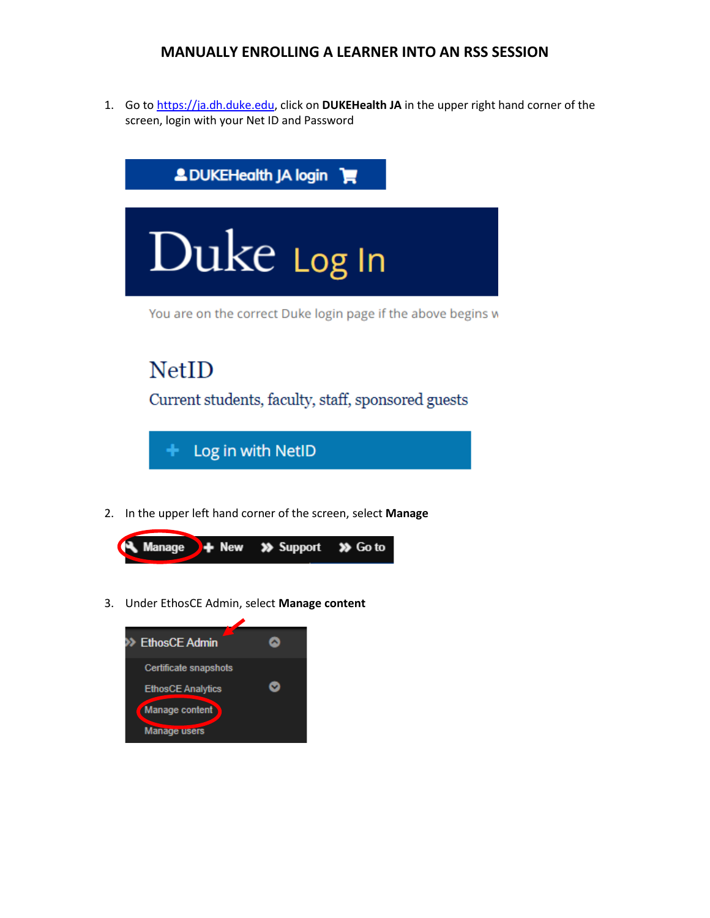## **MANUALLY ENROLLING A LEARNER INTO AN RSS SESSION**

1. Go to [https://ja.dh.duke.edu,](https://ja.dh.duke.edu/) click on **DUKEHealth JA** in the upper right hand corner of the screen, login with your Net ID and Password





3. Under EthosCE Admin, select **Manage content**

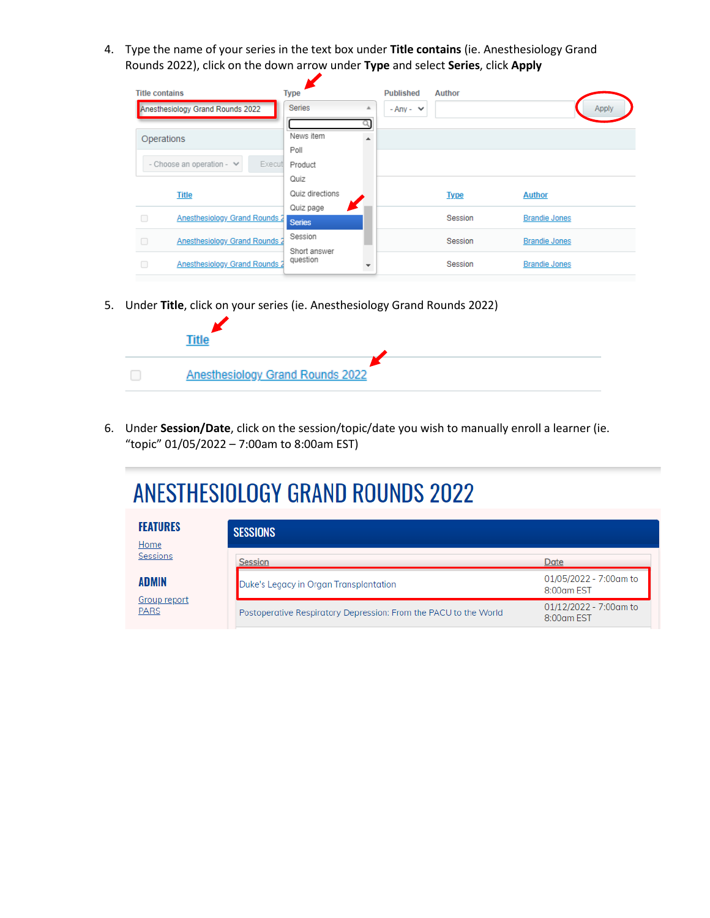4. Type the name of your series in the text box under **Title contains** (ie. Anesthesiology Grand Rounds 2022), click on the down arrow under **Type** and select **Series**, click **Apply**

| <b>Title contains</b>                    | <b>Type</b>                | <b>Published</b> | <b>Author</b> |                      |
|------------------------------------------|----------------------------|------------------|---------------|----------------------|
| Anesthesiology Grand Rounds 2022         | <b>Series</b>              | $- Anv - \vee$   |               | Apply                |
| Operations                               | News item<br>Poll          |                  |               |                      |
| - Choose an operation - $\vee$<br>Execut | Product                    |                  |               |                      |
|                                          | Quiz                       |                  |               |                      |
| <b>Title</b>                             | Quiz directions            |                  | <b>Type</b>   | <b>Author</b>        |
| Anesthesiology Grand Rounds 2            | Quiz page<br><b>Series</b> |                  | Session       | <b>Brandie Jones</b> |
| Anesthesiology Grand Rounds 2            | Session<br>Short answer    |                  | Session       | <b>Brandie Jones</b> |
| Anesthesiology Grand Rounds 2            | question                   |                  | Session       | <b>Brandie Jones</b> |

5. Under **Title**, click on your series (ie. Anesthesiology Grand Rounds 2022)



6. Under **Session/Date**, click on the session/topic/date you wish to manually enroll a learner (ie. "topic" 01/05/2022 – 7:00am to 8:00am EST)

# **ANESTHESIOLOGY GRAND ROUNDS 2022**

| <b>FEATURES</b><br>Home            | <b>SESSIONS</b>                                                  |                                      |
|------------------------------------|------------------------------------------------------------------|--------------------------------------|
| Sessions                           | Session                                                          | Date                                 |
| <b>ADMIN</b>                       | Duke's Legacy in Organ Transplantation                           | 01/05/2022 - 7:00am to<br>8:00am EST |
| <b>Group report</b><br><b>PARS</b> | Postoperative Respiratory Depression: From the PACU to the World | 01/12/2022 - 7:00am to<br>8:00am EST |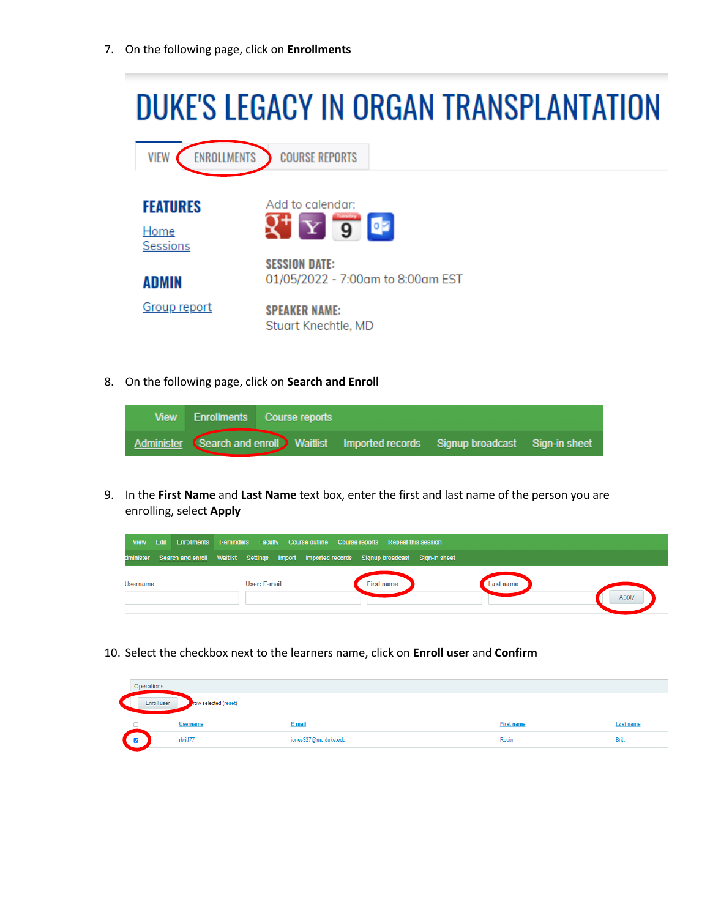7. On the following page, click on **Enrollments**



8. On the following page, click on **Search and Enroll**



9. In the **First Name** and **Last Name** text box, enter the first and last name of the person you are enrolling, select **Apply**



10. Select the checkbox next to the learners name, click on **Enroll user** and **Confirm**

| Operations  |                      |                      |                   |                  |
|-------------|----------------------|----------------------|-------------------|------------------|
| Enroll user | row selected (reset) |                      |                   |                  |
|             | <b>Username</b>      | E-mail               | <b>First name</b> | <b>Last name</b> |
| V           | rbritt77             | jones327@mc.duke.edu | Robin             | <b>Britt</b>     |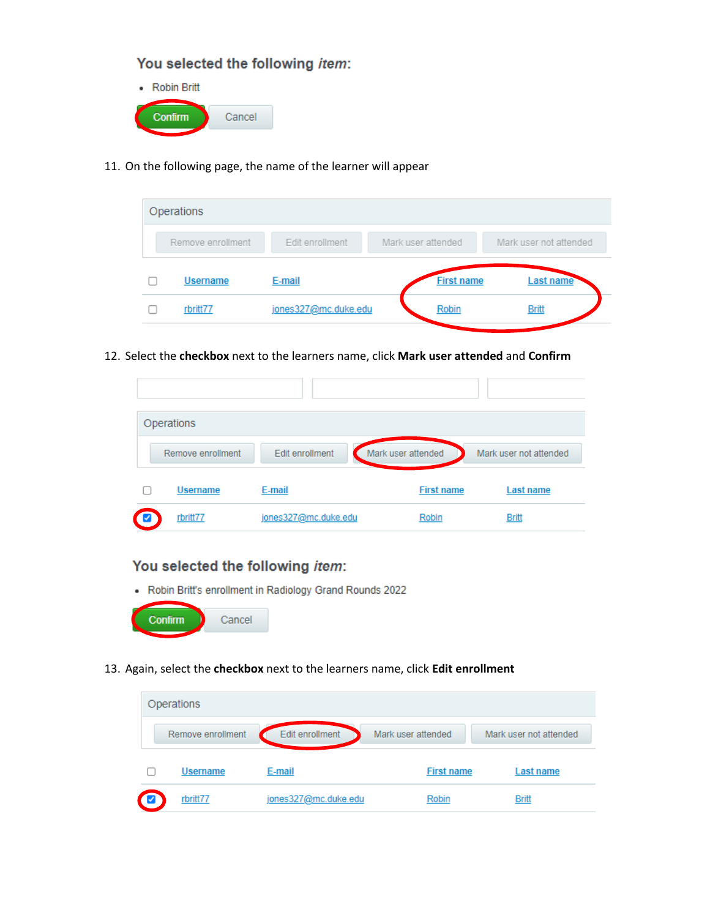### You selected the following item:



11. On the following page, the name of the learner will appear

| Operations        |                      |                    |                        |
|-------------------|----------------------|--------------------|------------------------|
| Remove enrollment | Edit enrollment      | Mark user attended | Mark user not attended |
| <b>Username</b>   | E-mail               | <b>First name</b>  | Last name              |
| rbritt77          | jones327@mc.duke.edu | Robin              | <b>Britt</b>           |

12. Select the **checkbox** next to the learners name, click **Mark user attended** and **Confirm**

| Operations        |                      |                    |                        |
|-------------------|----------------------|--------------------|------------------------|
| Remove enrollment | Edit enrollment      | Mark user attended | Mark user not attended |
| <b>Username</b>   | E-mail               | <b>First name</b>  | Last name              |
| rbritt77          | jones327@mc.duke.edu | Robin              | <b>Britt</b>           |

#### You selected the following item:

• Robin Britt's enrollment in Radiology Grand Rounds 2022



13. Again, select the **checkbox** next to the learners name, click **Edit enrollment**

|   | Operations        |                 |                    |                        |
|---|-------------------|-----------------|--------------------|------------------------|
|   | Remove enrollment | Edit enrollment | Mark user attended | Mark user not attended |
|   |                   |                 |                    |                        |
| L | <b>Username</b>   | E-mail          | <b>First name</b>  | Last name              |